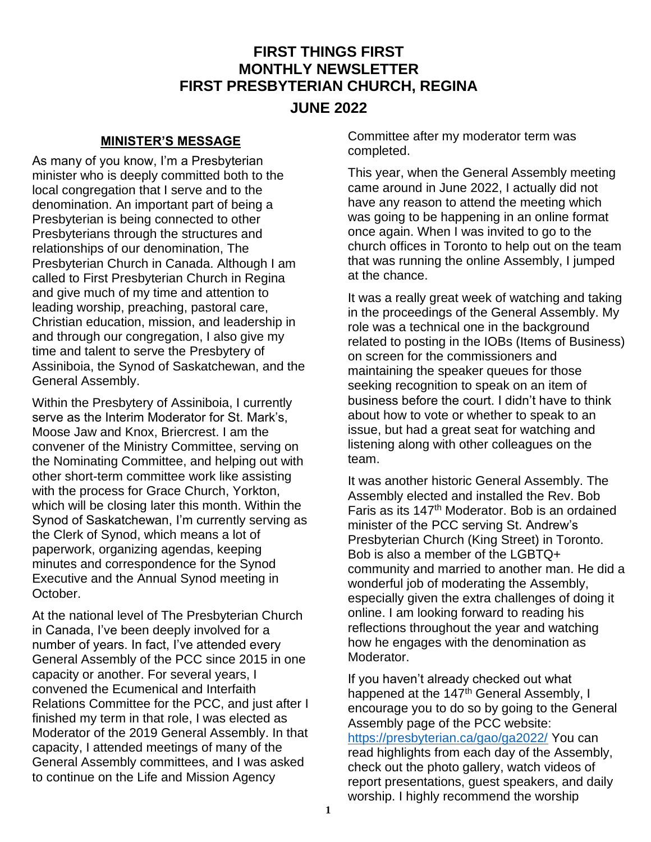# **FIRST THINGS FIRST MONTHLY NEWSLETTER FIRST PRESBYTERIAN CHURCH, REGINA**

## **JUNE 2022**

## **MINISTER'S MESSAGE**

As many of you know, I'm a Presbyterian minister who is deeply committed both to the local congregation that I serve and to the denomination. An important part of being a Presbyterian is being connected to other Presbyterians through the structures and relationships of our denomination, The Presbyterian Church in Canada. Although I am called to First Presbyterian Church in Regina and give much of my time and attention to leading worship, preaching, pastoral care, Christian education, mission, and leadership in and through our congregation, I also give my time and talent to serve the Presbytery of Assiniboia, the Synod of Saskatchewan, and the General Assembly.

Within the Presbytery of Assiniboia, I currently serve as the Interim Moderator for St. Mark's, Moose Jaw and Knox, Briercrest. I am the convener of the Ministry Committee, serving on the Nominating Committee, and helping out with other short-term committee work like assisting with the process for Grace Church, Yorkton, which will be closing later this month. Within the Synod of Saskatchewan, I'm currently serving as the Clerk of Synod, which means a lot of paperwork, organizing agendas, keeping minutes and correspondence for the Synod Executive and the Annual Synod meeting in October.

At the national level of The Presbyterian Church in Canada, I've been deeply involved for a number of years. In fact, I've attended every General Assembly of the PCC since 2015 in one capacity or another. For several years, I convened the Ecumenical and Interfaith Relations Committee for the PCC, and just after I finished my term in that role, I was elected as Moderator of the 2019 General Assembly. In that capacity, I attended meetings of many of the General Assembly committees, and I was asked to continue on the Life and Mission Agency

Committee after my moderator term was completed.

This year, when the General Assembly meeting came around in June 2022, I actually did not have any reason to attend the meeting which was going to be happening in an online format once again. When I was invited to go to the church offices in Toronto to help out on the team that was running the online Assembly, I jumped at the chance.

It was a really great week of watching and taking in the proceedings of the General Assembly. My role was a technical one in the background related to posting in the IOBs (Items of Business) on screen for the commissioners and maintaining the speaker queues for those seeking recognition to speak on an item of business before the court. I didn't have to think about how to vote or whether to speak to an issue, but had a great seat for watching and listening along with other colleagues on the team.

It was another historic General Assembly. The Assembly elected and installed the Rev. Bob Faris as its 147th Moderator. Bob is an ordained minister of the PCC serving St. Andrew's Presbyterian Church (King Street) in Toronto. Bob is also a member of the LGBTQ+ community and married to another man. He did a wonderful job of moderating the Assembly, especially given the extra challenges of doing it online. I am looking forward to reading his reflections throughout the year and watching how he engages with the denomination as Moderator.

If you haven't already checked out what happened at the 147<sup>th</sup> General Assembly, I encourage you to do so by going to the General Assembly page of the PCC website: <https://presbyterian.ca/gao/ga2022/> You can read highlights from each day of the Assembly, check out the photo gallery, watch videos of report presentations, guest speakers, and daily worship. I highly recommend the worship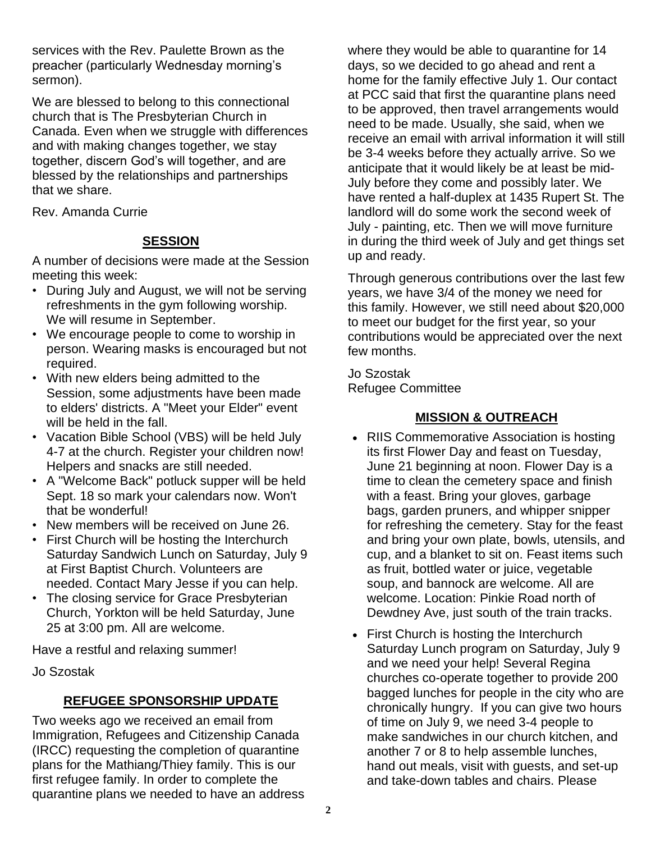services with the Rev. Paulette Brown as the preacher (particularly Wednesday morning's sermon).

We are blessed to belong to this connectional church that is The Presbyterian Church in Canada. Even when we struggle with differences and with making changes together, we stay together, discern God's will together, and are blessed by the relationships and partnerships that we share.

Rev. Amanda Currie

## **SESSION**

A number of decisions were made at the Session meeting this week:

- During July and August, we will not be serving refreshments in the gym following worship. We will resume in September.
- We encourage people to come to worship in person. Wearing masks is encouraged but not required.
- With new elders being admitted to the Session, some adjustments have been made to elders' districts. A "Meet your Elder" event will be held in the fall.
- Vacation Bible School (VBS) will be held July 4-7 at the church. Register your children now! Helpers and snacks are still needed.
- A "Welcome Back" potluck supper will be held Sept. 18 so mark your calendars now. Won't that be wonderful!
- New members will be received on June 26.
- First Church will be hosting the Interchurch Saturday Sandwich Lunch on Saturday, July 9 at First Baptist Church. Volunteers are needed. Contact Mary Jesse if you can help.
- The closing service for Grace Presbyterian Church, Yorkton will be held Saturday, June 25 at 3:00 pm. All are welcome.

Have a restful and relaxing summer!

Jo Szostak

## **REFUGEE SPONSORSHIP UPDATE**

Two weeks ago we received an email from Immigration, Refugees and Citizenship Canada (IRCC) requesting the completion of quarantine plans for the Mathiang/Thiey family. This is our first refugee family. In order to complete the quarantine plans we needed to have an address

where they would be able to quarantine for 14 days, so we decided to go ahead and rent a home for the family effective July 1. Our contact at PCC said that first the quarantine plans need to be approved, then travel arrangements would need to be made. Usually, she said, when we receive an email with arrival information it will still be 3-4 weeks before they actually arrive. So we anticipate that it would likely be at least be mid-July before they come and possibly later. We have rented a half-duplex at 1435 Rupert St. The landlord will do some work the second week of July - painting, etc. Then we will move furniture in during the third week of July and get things set up and ready.

Through generous contributions over the last few years, we have 3/4 of the money we need for this family. However, we still need about \$20,000 to meet our budget for the first year, so your contributions would be appreciated over the next few months.

Jo Szostak Refugee Committee

## **MISSION & OUTREACH**

- RIIS Commemorative Association is hosting its first Flower Day and feast on Tuesday, June 21 beginning at noon. Flower Day is a time to clean the cemetery space and finish with a feast. Bring your gloves, garbage bags, garden pruners, and whipper snipper for refreshing the cemetery. Stay for the feast and bring your own plate, bowls, utensils, and cup, and a blanket to sit on. Feast items such as fruit, bottled water or juice, vegetable soup, and bannock are welcome. All are welcome. Location: Pinkie Road north of Dewdney Ave, just south of the train tracks.
- First Church is hosting the Interchurch Saturday Lunch program on Saturday, July 9 and we need your help! Several Regina churches co-operate together to provide 200 bagged lunches for people in the city who are chronically hungry. If you can give two hours of time on July 9, we need 3-4 people to make sandwiches in our church kitchen, and another 7 or 8 to help assemble lunches, hand out meals, visit with guests, and set-up and take-down tables and chairs. Please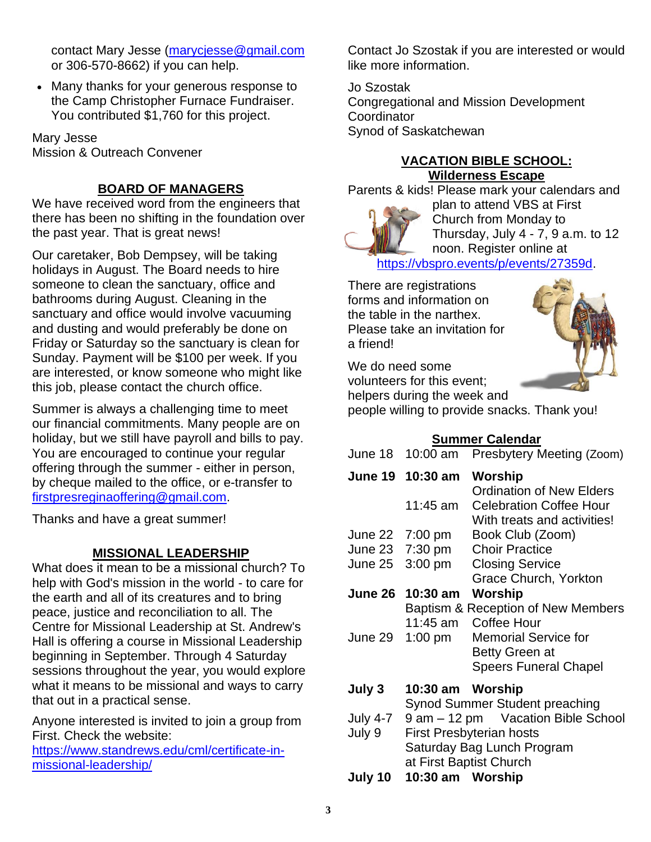contact Mary Jesse [\(marycjesse@gmail.com](mailto:marycjesse@gmail.com) or 306-570-8662) if you can help.

• Many thanks for your generous response to the Camp Christopher Furnace Fundraiser. You contributed \$1,760 for this project.

Mary Jesse Mission & Outreach Convener

## **BOARD OF MANAGERS**

We have received word from the engineers that there has been no shifting in the foundation over the past year. That is great news!

Our caretaker, Bob Dempsey, will be taking holidays in August. The Board needs to hire someone to clean the sanctuary, office and bathrooms during August. Cleaning in the sanctuary and office would involve vacuuming and dusting and would preferably be done on Friday or Saturday so the sanctuary is clean for Sunday. Payment will be \$100 per week. If you are interested, or know someone who might like this job, please contact the church office.

Summer is always a challenging time to meet our financial commitments. Many people are on holiday, but we still have payroll and bills to pay. You are encouraged to continue your regular offering through the summer - either in person, by cheque mailed to the office, or e-transfer to [firstpresreginaoffering@gmail.com.](mailto:firstpresreginaoffering@gmail.com)

Thanks and have a great summer!

## **MISSIONAL LEADERSHIP**

What does it mean to be a missional church? To help with God's mission in the world - to care for the earth and all of its creatures and to bring peace, justice and reconciliation to all. The Centre for Missional Leadership at St. Andrew's Hall is offering a course in Missional Leadership beginning in September. Through 4 Saturday sessions throughout the year, you would explore what it means to be missional and ways to carry that out in a practical sense.

Anyone interested is invited to join a group from First. Check the website:

[https://www.standrews.edu/cml/certificate-in](https://www.standrews.edu/cml/certificate-in-missional-leadership/)[missional-leadership/](https://www.standrews.edu/cml/certificate-in-missional-leadership/)

Contact Jo Szostak if you are interested or would like more information.

Jo Szostak Congregational and Mission Development **Coordinator** Synod of Saskatchewan

## **VACATION BIBLE SCHOOL: Wilderness Escape**

Parents & kids! Please mark your calendars and



plan to attend VBS at First Church from Monday to Thursday, July 4 - 7, 9 a.m. to 12 noon. Register online at [https://vbspro.events/p/events/27359d.](https://vbspro.events/p/events/27359d)

There are registrations forms and information on the table in the narthex. Please take an invitation for a friend!

We do need some volunteers for this event;



helpers during the week and

people willing to provide snacks. Thank you!

## **Summer Calendar**

June 18 10:00 am Presbytery Meeting (Zoom)

|                    | June 19 10:30 am                   | Worship                         |  |
|--------------------|------------------------------------|---------------------------------|--|
|                    |                                    | <b>Ordination of New Elders</b> |  |
|                    | 11:45 am                           | <b>Celebration Coffee Hour</b>  |  |
|                    |                                    | With treats and activities!     |  |
| June 22            | $7:00 \text{ pm}$                  | Book Club (Zoom)                |  |
|                    | June 23 7:30 pm                    | <b>Choir Practice</b>           |  |
| June 25            | $3:00$ pm                          | <b>Closing Service</b>          |  |
|                    |                                    | Grace Church, Yorkton           |  |
| June 26            | 10:30 am                           | Worship                         |  |
|                    | Baptism & Reception of New Members |                                 |  |
|                    | 11:45 am                           | Coffee Hour                     |  |
| June 29            | 1:00 pm                            | <b>Memorial Service for</b>     |  |
|                    |                                    | <b>Betty Green at</b>           |  |
|                    |                                    | <b>Speers Funeral Chapel</b>    |  |
| July 3             | 10:30 am Worship                   |                                 |  |
|                    |                                    | Synod Summer Student preaching  |  |
| <b>July 4-7</b>    | 9 am - 12 pm Vacation Bible School |                                 |  |
| July 9             | <b>First Presbyterian hosts</b>    |                                 |  |
|                    | Saturday Bag Lunch Program         |                                 |  |
|                    | at First Baptist Church            |                                 |  |
| I. I. . <i>A</i> A | .                                  |                                 |  |

**July 10 10:30 am Worship**